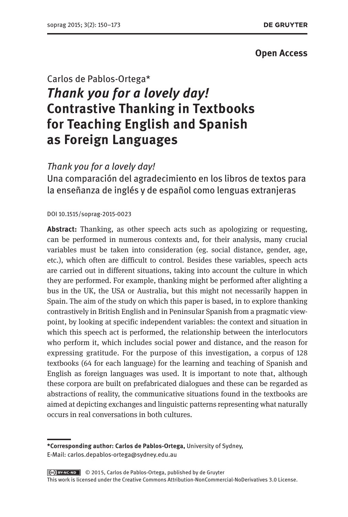### **Open Access**

# Carlos de Pablos-Ortega\* *Thank you for a lovely day!* **Contrastive Thanking in Textbooks for Teaching English and Spanish as Foreign Languages**

### *Thank you for a lovely day!*

Una comparación del agradecimiento en los libros de textos para la enseñanza de inglés y de español como lenguas extranjeras

DOI 10.1515/soprag-2015-0023

**Abstract:** Thanking, as other speech acts such as apologizing or requesting, can be performed in numerous contexts and, for their analysis, many crucial variables must be taken into consideration (eg. social distance, gender, age, etc.), which often are difficult to control. Besides these variables, speech acts are carried out in different situations, taking into account the culture in which they are performed. For example, thanking might be performed after alighting a bus in the UK, the USA or Australia, but this might not necessarily happen in Spain. The aim of the study on which this paper is based, in to explore thanking contrastively in British English and in Peninsular Spanish from a pragmatic viewpoint, by looking at specific independent variables: the context and situation in which this speech act is performed, the relationship between the interlocutors who perform it, which includes social power and distance, and the reason for expressing gratitude. For the purpose of this investigation, a corpus of 128 textbooks (64 for each language) for the learning and teaching of Spanish and English as foreign languages was used. It is important to note that, although these corpora are built on prefabricated dialogues and these can be regarded as abstractions of reality, the communicative situations found in the textbooks are aimed at depicting exchanges and linguistic patterns representing what naturally occurs in real conversations in both cultures.

© 2015, Carlos de Pablos-Ortega, published by de Gruyter This work is licensed under the Creative Commons Attribution-NonCommercial-NoDerivatives 3.0 License.

**<sup>\*</sup>Corresponding author: Carlos de Pablos-Ortega,** University of Sydney, E-Mail: carlos.depablos-ortega@sydney.edu.au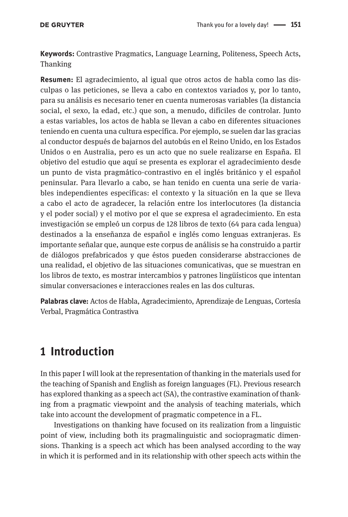**Keywords:** Contrastive Pragmatics, Language Learning, Politeness, Speech Acts, Thanking

**Resumen:** El agradecimiento, al igual que otros actos de habla como las disculpas o las peticiones, se lleva a cabo en contextos variados y, por lo tanto, para su análisis es necesario tener en cuenta numerosas variables (la distancia social, el sexo, la edad, etc.) que son, a menudo, difíciles de controlar. Junto a estas variables, los actos de habla se llevan a cabo en diferentes situaciones teniendo en cuenta una cultura específica. Por ejemplo, se suelen dar las gracias al conductor después de bajarnos del autobús en el Reino Unido, en los Estados Unidos o en Australia, pero es un acto que no suele realizarse en España. El objetivo del estudio que aquí se presenta es explorar el agradecimiento desde un punto de vista pragmático-contrastivo en el inglés británico y el español peninsular. Para llevarlo a cabo, se han tenido en cuenta una serie de variables independientes específicas: el contexto y la situación en la que se lleva a cabo el acto de agradecer, la relación entre los interlocutores (la distancia y el poder social) y el motivo por el que se expresa el agradecimiento. En esta investigación se empleó un corpus de 128 libros de texto (64 para cada lengua) destinados a la enseñanza de español e inglés como lenguas extranjeras. Es importante señalar que, aunque este corpus de análisis se ha construido a partir de diálogos prefabricados y que éstos pueden considerarse abstracciones de una realidad, el objetivo de las situaciones comunicativas, que se muestran en los libros de texto, es mostrar intercambios y patrones lingüísticos que intentan simular conversaciones e interacciones reales en las dos culturas.

**Palabras clave:** Actos de Habla, Agradecimiento, Aprendizaje de Lenguas, Cortesía Verbal, Pragmática Contrastiva

## **1 Introduction**

In this paper I will look at the representation of thanking in the materials used for the teaching of Spanish and English as foreign languages (FL). Previous research has explored thanking as a speech act (SA), the contrastive examination of thanking from a pragmatic viewpoint and the analysis of teaching materials, which take into account the development of pragmatic competence in a FL.

Investigations on thanking have focused on its realization from a linguistic point of view, including both its pragmalinguistic and sociopragmatic dimensions. Thanking is a speech act which has been analysed according to the way in which it is performed and in its relationship with other speech acts within the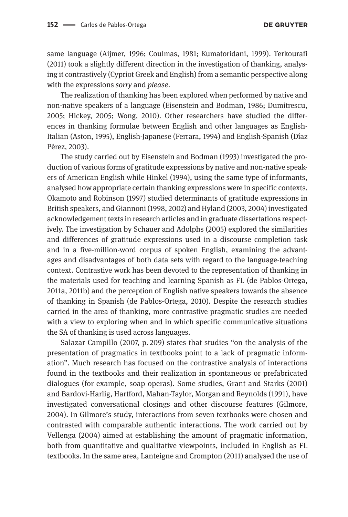same language (Aijmer, 1996; Coulmas, 1981; Kumatoridani, 1999). Terkourafi (2011) took a slightly different direction in the investigation of thanking, analysing it contrastively (Cypriot Greek and English) from a semantic perspective along with the expressions *sorry* and *please*.

The realization of thanking has been explored when performed by native and non-native speakers of a language (Eisenstein and Bodman, 1986; Dumitrescu, 2005; Hickey, 2005; Wong, 2010). Other researchers have studied the differences in thanking formulae between English and other languages as English-Italian (Aston, 1995), English-Japanese (Ferrara, 1994) and English-Spanish (Díaz Pérez, 2003).

The study carried out by Eisenstein and Bodman (1993) investigated the production of various forms of gratitude expressions by native and non-native speakers of American English while Hinkel (1994), using the same type of informants, analysed how appropriate certain thanking expressions were in specific contexts. Okamoto and Robinson (1997) studied determinants of gratitude expressions in British speakers, and Giannoni (1998, 2002) and Hyland (2003, 2004) investigated acknowledgement texts in research articles and in graduate dissertations respectively. The investigation by Schauer and Adolphs (2005) explored the similarities and differences of gratitude expressions used in a discourse completion task and in a five-million-word corpus of spoken English, examining the advantages and disadvantages of both data sets with regard to the language-teaching context. Contrastive work has been devoted to the representation of thanking in the materials used for teaching and learning Spanish as FL (de Pablos-Ortega, 2011a, 2011b) and the perception of English native speakers towards the absence of thanking in Spanish (de Pablos-Ortega, 2010). Despite the research studies carried in the area of thanking, more contrastive pragmatic studies are needed with a view to exploring when and in which specific communicative situations the SA of thanking is used across languages.

Salazar Campillo (2007, p. 209) states that studies "on the analysis of the presentation of pragmatics in textbooks point to a lack of pragmatic information". Much research has focused on the contrastive analysis of interactions found in the textbooks and their realization in spontaneous or prefabricated dialogues (for example, soap operas). Some studies, Grant and Starks (2001) and Bardovi-Harlig, Hartford, Mahan-Taylor, Morgan and Reynolds (1991), have investigated conversational closings and other discourse features (Gilmore, 2004). In Gilmore's study, interactions from seven textbooks were chosen and contrasted with comparable authentic interactions. The work carried out by Vellenga (2004) aimed at establishing the amount of pragmatic information, both from quantitative and qualitative viewpoints, included in English as FL textbooks. In the same area, Lanteigne and Crompton (2011) analysed the use of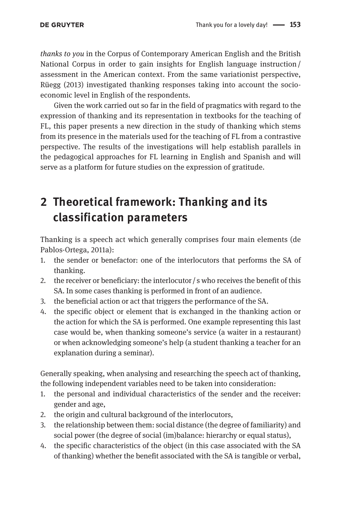*thanks to you* in the Corpus of Contemporary American English and the British National Corpus in order to gain insights for English language instruction  $/$ assessment in the American context. From the same variationist perspective, Rüegg (2013) investigated thanking responses taking into account the socioeconomic level in English of the respondents.

Given the work carried out so far in the field of pragmatics with regard to the expression of thanking and its representation in textbooks for the teaching of FL, this paper presents a new direction in the study of thanking which stems from its presence in the materials used for the teaching of FL from a contrastive perspective. The results of the investigations will help establish parallels in the pedagogical approaches for FL learning in English and Spanish and will serve as a platform for future studies on the expression of gratitude.

# **2 Theoretical framework: Thanking and its classification parameters**

Thanking is a speech act which generally comprises four main elements (de Pablos-Ortega, 2011a):

- 1. the sender or benefactor: one of the interlocutors that performs the SA of thanking.
- 2. the receiver or beneficiary: the interlocutor  $/s$  who receives the benefit of this SA. In some cases thanking is performed in front of an audience.
- 3. the beneficial action or act that triggers the performance of the SA.
- 4. the specific object or element that is exchanged in the thanking action or the action for which the SA is performed. One example representing this last case would be, when thanking someone's service (a waiter in a restaurant) or when acknowledging someone's help (a student thanking a teacher for an explanation during a seminar).

Generally speaking, when analysing and researching the speech act of thanking, the following independent variables need to be taken into consideration:

- 1. the personal and individual characteristics of the sender and the receiver: gender and age,
- 2. the origin and cultural background of the interlocutors,
- 3. the relationship between them: social distance (the degree of familiarity) and social power (the degree of social (im)balance: hierarchy or equal status),
- 4. the specific characteristics of the object (in this case associated with the SA of thanking) whether the benefit associated with the SA is tangible or verbal,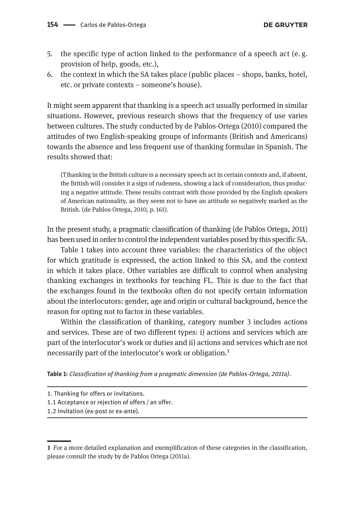- 5. the specific type of action linked to the performance of a speech act (e. g. provision of help, goods, etc.),
- 6. the context in which the SA takes place (public places shops, banks, hotel, etc. or private contexts – someone's house).

It might seem apparent that thanking is a speech act usually performed in similar situations. However, previous research shows that the frequency of use varies between cultures. The study conducted by de Pablos-Ortega (2010) compared the attitudes of two English-speaking groups of informants (British and Americans) towards the absence and less frequent use of thanking formulae in Spanish. The results showed that:

(T)hanking in the British culture is a necessary speech act in certain contexts and, if absent, the British will consider it a sign of rudeness, showing a lack of consideration, thus producing a negative attitude. These results contrast with those provided by the English speakers of American nationality, as they seem not to have an attitude so negatively marked as the British. (de Pablos-Ortega, 2010, p. 161).

In the present study, a pragmatic classification of thanking (de Pablos Ortega, 2011) has been used in order to control the independent variables posed by this specific SA.

Table 1 takes into account three variables: the characteristics of the object for which gratitude is expressed, the action linked to this SA, and the context in which it takes place. Other variables are difficult to control when analysing thanking exchanges in textbooks for teaching FL. This is due to the fact that the exchanges found in the textbooks often do not specify certain information about the interlocutors: gender, age and origin or cultural background, hence the reason for opting not to factor in these variables.

Within the classification of thanking, category number 3 includes actions and services. These are of two different types: i) actions and services which are part of the interlocutor's work or duties and ii) actions and services which are not necessarily part of the interlocutor's work or obligation.<sup>1</sup>

**Table 1:** *Classification of thanking from a pragmatic dimension (de Pablos-Ortega, 2011a)*.

- 1.1 Acceptance or rejection of offers / an offer.
- 1.2 Invitation (ex-post or ex-ante).

<sup>1.</sup> Thanking for offers or invitations.

**<sup>1</sup>** For a more detailed explanation and exemplification of these categories in the classification, please consult the study by de Pablos Ortega (2011a).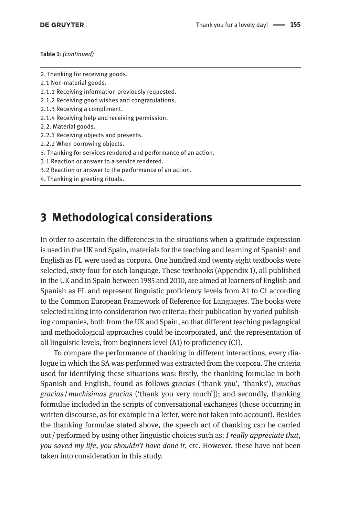#### **Table 1:** *(continued)*

2. Thanking for receiving goods. 2.1 Non-material goods. 2.1.1 Receiving information previously requested. 2.1.2 Receiving good wishes and congratulations. 2.1.3 Receiving a compliment. 2.1.4 Receiving help and receiving permission. 2.2. Material goods. 2.2.1 Receiving objects and presents. 2.2.2 When borrowing objects. 3. Thanking for services rendered and performance of an action. 3.1 Reaction or answer to a service rendered. 3.2 Reaction or answer to the performance of an action. 4. Thanking in greeting rituals.

## **3 Methodological considerations**

In order to ascertain the differences in the situations when a gratitude expression is used in the UK and Spain, materials for the teaching and learning of Spanish and English as FL were used as corpora. One hundred and twenty eight textbooks were selected, sixty-four for each language. These textbooks (Appendix 1), all published in the UK and in Spain between 1985 and 2010, are aimed at learners of English and Spanish as FL and represent linguistic proficiency levels from A1 to C1 according to the Common European Framework of Reference for Languages. The books were selected taking into consideration two criteria: their publication by varied publishing companies, both from the UK and Spain, so that different teaching pedagogical and methodological approaches could be incorporated, and the representation of all linguistic levels, from beginners level (A1) to proficiency (C1).

To compare the performance of thanking in different interactions, every dialogue in which the SA was performed was extracted from the corpora. The criteria used for identifying these situations was: firstly, the thanking formulae in both Spanish and English, found as follows *gracias* ('thank you', 'thanks'), *muchas gracias*/ *muchísimas gracias* ('thank you very much']); and secondly, thanking formulae included in the scripts of conversational exchanges (those occurring in written discourse, as for example in a letter, were not taken into account). Besides the thanking formulae stated above, the speech act of thanking can be carried out / performed by using other linguistic choices such as: *I really appreciate that*, *you saved my life*, *you shouldn't have done it*, etc. However, these have not been taken into consideration in this study.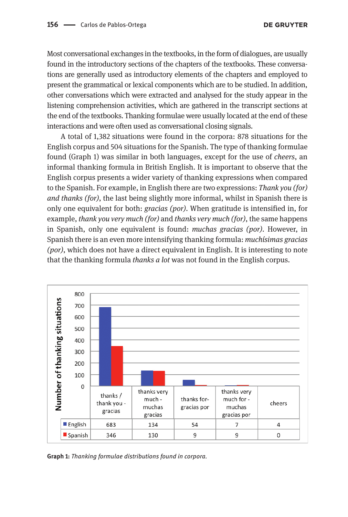Most conversational exchanges in the textbooks, in the form of dialogues, are usually found in the introductory sections of the chapters of the textbooks. These conversations are generally used as introductory elements of the chapters and employed to present the grammatical or lexical components which are to be studied. In addition, other conversations which were extracted and analysed for the study appear in the listening comprehension activities, which are gathered in the transcript sections at the end of the textbooks. Thanking formulae were usually located at the end of these interactions and were often used as conversational closing signals.

A total of 1,382 situations were found in the corpora: 878 situations for the English corpus and 504 situations for the Spanish. The type of thanking formulae found (Graph 1) was similar in both languages, except for the use of *cheers*, an informal thanking formula in British English. It is important to observe that the English corpus presents a wider variety of thanking expressions when compared to the Spanish. For example, in English there are two expressions: *Thank you (for) and thanks (for)*, the last being slightly more informal, whilst in Spanish there is only one equivalent for both: *gracias (por)*. When gratitude is intensified in, for example, *thank you very much (for)* and *thanks very much (for)*, the same happens in Spanish, only one equivalent is found: *muchas gracias (por)*. However, in Spanish there is an even more intensifying thanking formula: *muchísimas gracias (por)*, which does not have a direct equivalent in English. It is interesting to note that the thanking formula *thanks a lot* was not found in the English corpus.



**Graph 1:** *Thanking formulae distributions found in corpora.*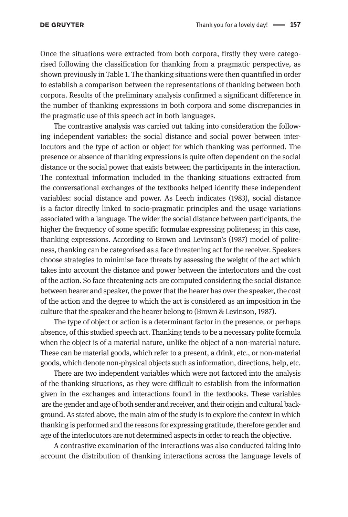Once the situations were extracted from both corpora, firstly they were categorised following the classification for thanking from a pragmatic perspective, as shown previously in Table 1. The thanking situations were then quantified in order to establish a comparison between the representations of thanking between both corpora. Results of the preliminary analysis confirmed a significant difference in the number of thanking expressions in both corpora and some discrepancies in the pragmatic use of this speech act in both languages.

The contrastive analysis was carried out taking into consideration the following independent variables: the social distance and social power between interlocutors and the type of action or object for which thanking was performed. The presence or absence of thanking expressions is quite often dependent on the social distance or the social power that exists between the participants in the interaction. The contextual information included in the thanking situations extracted from the conversational exchanges of the textbooks helped identify these independent variables: social distance and power. As Leech indicates (1983), social distance is a factor directly linked to socio-pragmatic principles and the usage variations associated with a language. The wider the social distance between participants, the higher the frequency of some specific formulae expressing politeness; in this case, thanking expressions. According to Brown and Levinson's (1987) model of politeness, thanking can be categorised as a face threatening act for the receiver. Speakers choose strategies to minimise face threats by assessing the weight of the act which takes into account the distance and power between the interlocutors and the cost of the action. So face threatening acts are computed considering the social distance between hearer and speaker, the power that the hearer has over the speaker, the cost of the action and the degree to which the act is considered as an imposition in the culture that the speaker and the hearer belong to (Brown & Levinson, 1987).

The type of object or action is a determinant factor in the presence, or perhaps absence, of this studied speech act. Thanking tends to be a necessary polite formula when the object is of a material nature, unlike the object of a non-material nature. These can be material goods, which refer to a present, a drink, etc., or non-material goods, which denote non-physical objects such as information, directions, help, etc.

There are two independent variables which were not factored into the analysis of the thanking situations, as they were difficult to establish from the information given in the exchanges and interactions found in the textbooks. These variables are the gender and age of both sender and receiver, and their origin and cultural background. As stated above, the main aim of the study is to explore the context in which thanking is performed and the reasons for expressing gratitude, therefore gender and age of the interlocutors are not determined aspects in order to reach the objective.

A contrastive examination of the interactions was also conducted taking into account the distribution of thanking interactions across the language levels of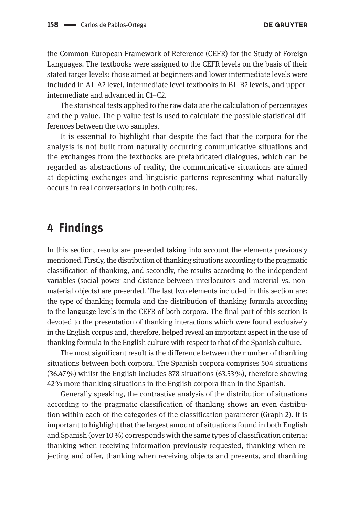the Common European Framework of Reference (CEFR) for the Study of Foreign Languages. The textbooks were assigned to the CEFR levels on the basis of their stated target levels: those aimed at beginners and lower intermediate levels were included in A1–A2 level, intermediate level textbooks in B1–B2 levels, and upperintermediate and advanced in C1–C2.

The statistical tests applied to the raw data are the calculation of percentages and the p-value. The p-value test is used to calculate the possible statistical differences between the two samples.

It is essential to highlight that despite the fact that the corpora for the analysis is not built from naturally occurring communicative situations and the exchanges from the textbooks are prefabricated dialogues, which can be regarded as abstractions of reality, the communicative situations are aimed at depicting exchanges and linguistic patterns representing what naturally occurs in real conversations in both cultures.

### **4 Findings**

In this section, results are presented taking into account the elements previously mentioned. Firstly, the distribution of thanking situations according to the pragmatic classification of thanking, and secondly, the results according to the independent variables (social power and distance between interlocutors and material vs. nonmaterial objects) are presented. The last two elements included in this section are: the type of thanking formula and the distribution of thanking formula according to the language levels in the CEFR of both corpora. The final part of this section is devoted to the presentation of thanking interactions which were found exclusively in the English corpus and, therefore, helped reveal an important aspect in the use of thanking formula in the English culture with respect to that of the Spanish culture.

The most significant result is the difference between the number of thanking situations between both corpora. The Spanish corpora comprises 504 situations  $(36.47%)$  whilst the English includes 878 situations  $(63.53%)$ , therefore showing 42 % more thanking situations in the English corpora than in the Spanish.

Generally speaking, the contrastive analysis of the distribution of situations according to the pragmatic classification of thanking shows an even distribution within each of the categories of the classification parameter (Graph 2). It is important to highlight that the largest amount of situations found in both English and Spanish (over 10 %) corresponds with the same types of classification criteria: thanking when receiving information previously requested, thanking when rejecting and offer, thanking when receiving objects and presents, and thanking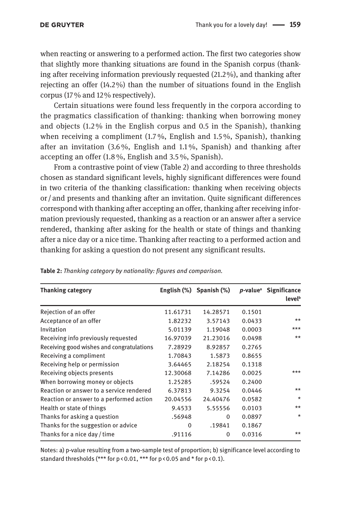when reacting or answering to a performed action. The first two categories show that slightly more thanking situations are found in the Spanish corpus (thanking after receiving information previously requested  $(21.2\%)$ , and thanking after rejecting an offer  $(14.2\%)$  than the number of situations found in the English corpus (17 $%$  and 12 $%$  respectively).

Certain situations were found less frequently in the corpora according to the pragmatics classification of thanking: thanking when borrowing money and objects  $(1.2\%$  in the English corpus and 0.5 in the Spanish), thanking when receiving a compliment  $(1.7\%$ , English and  $1.5\%$ , Spanish), thanking after an invitation  $(3.6\%$ , English and  $1.1\%$ , Spanish) and thanking after accepting an offer (1.8%, English and 3.5%, Spanish).

From a contrastive point of view (Table 2) and according to three thresholds chosen as standard significant levels, highly significant differences were found in two criteria of the thanking classification: thanking when receiving objects or / and presents and thanking after an invitation. Quite significant differences correspond with thanking after accepting an offer, thanking after receiving information previously requested, thanking as a reaction or an answer after a service rendered, thanking after asking for the health or state of things and thanking after a nice day or a nice time. Thanking after reacting to a performed action and thanking for asking a question do not present any significant results.

| <b>Thanking category</b>                  | English (%) | Spanish (%) | <i>p</i> -valueª | <b>Significance</b><br>level <sup>b</sup> |
|-------------------------------------------|-------------|-------------|------------------|-------------------------------------------|
| Rejection of an offer                     | 11.61731    | 14.28571    | 0.1501           |                                           |
| Acceptance of an offer                    | 1.82232     | 3.57143     | 0.0433           | $**$                                      |
| Invitation                                | 5.01139     | 1.19048     | 0.0003           | $***$                                     |
| Receiving info previously requested       | 16.97039    | 21.23016    | 0.0498           | $**$                                      |
| Receiving good wishes and congratulations | 7.28929     | 8.92857     | 0.2765           |                                           |
| Receiving a compliment                    | 1.70843     | 1.5873      | 0.8655           |                                           |
| Receiving help or permission              | 3.64465     | 2.18254     | 0.1318           |                                           |
| Receiving objects presents                | 12.30068    | 7.14286     | 0.0025           | $***$                                     |
| When borrowing money or objects           | 1.25285     | .59524      | 0.2400           |                                           |
| Reaction or answer to a service rendered  | 6.37813     | 9.3254      | 0.0446           | $**$                                      |
| Reaction or answer to a performed action  | 20.04556    | 24.40476    | 0.0582           | $^\star$                                  |
| Health or state of things                 | 9.4533      | 5.55556     | 0.0103           | $**$                                      |
| Thanks for asking a question              | .56948      | $\Omega$    | 0.0897           | $\star$                                   |
| Thanks for the suggestion or advice       | $\Omega$    | .19841      | 0.1867           |                                           |
| Thanks for a nice day / time              | .91116      | $\Omega$    | 0.0316           | $***$                                     |

**Table 2:** *Thanking category by nationality: figures and comparison.*

Notes: a) p-value resulting from a two-sample test of proportion; b) significance level according to standard thresholds (\*\*\* for  $p < 0.01$ , \*\*\* for  $p < 0.05$  and \* for  $p < 0.1$ ).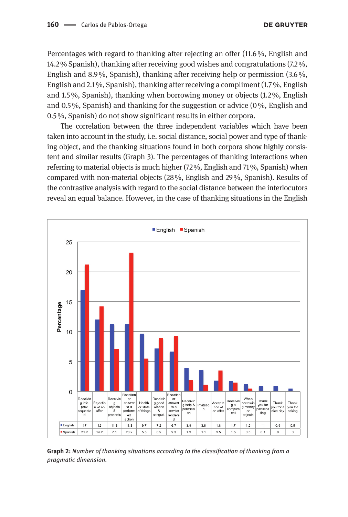Percentages with regard to thanking after rejecting an offer (11.6%, English and 14.2 % Spanish), thanking after receiving good wishes and congratulations (7.2 %, English and 8.9 $%$ , Spanish), thanking after receiving help or permission (3.6 $%$ , English and 2.1%, Spanish), thanking after receiving a compliment (1.7%, English and 1.5%, Spanish), thanking when borrowing money or objects (1.2%, English and 0.5 $%$ , Spanish) and thanking for the suggestion or advice (0 $%$ , English and 0.5 %, Spanish) do not show significant results in either corpora.

The correlation between the three independent variables which have been taken into account in the study, i.e. social distance, social power and type of thanking object, and the thanking situations found in both corpora show highly consistent and similar results (Graph 3). The percentages of thanking interactions when referring to material objects is much higher  $(72\%$ , English and  $71\%$ , Spanish) when compared with non-material objects (28 %, English and 29 %, Spanish). Results of the contrastive analysis with regard to the social distance between the interlocutors reveal an equal balance. However, in the case of thanking situations in the English



**Graph 2:** *Number of thanking situations according to the classification of thanking from a pragmatic dimension.*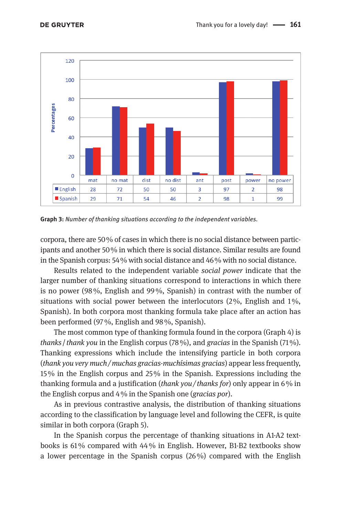

**Graph 3:** *Number of thanking situations according to the independent variables.*

corpora, there are 50 % of cases in which there is no social distance between participants and another 50% in which there is social distance. Similar results are found in the Spanish corpus: 54% with social distance and 46% with no social distance.

Results related to the independent variable *social power* indicate that the larger number of thanking situations correspond to interactions in which there is no power (98 $\%$ , English and 99 $\%$ , Spanish) in contrast with the number of situations with social power between the interlocutors  $(2\%$ , English and  $1\%$ , Spanish). In both corpora most thanking formula take place after an action has been performed (97%, English and 98%, Spanish).

The most common type of thanking formula found in the corpora (Graph 4) is *thanks*/ *thank you* in the English corpus (78 %), and *gracias* in the Spanish (71 %). Thanking expressions which include the intensifying particle in both corpora (*thank you very much / muchas gracias-muchísimas gracias*) appear less frequently, 15 % in the English corpus and 25 % in the Spanish. Expressions including the thanking formula and a justification (*thank you / thanks for*) only appear in 6 % in the English corpus and 4 % in the Spanish one (*gracias por*).

As in previous contrastive analysis, the distribution of thanking situations according to the classification by language level and following the CEFR, is quite similar in both corpora (Graph 5).

In the Spanish corpus the percentage of thanking situations in A1-A2 textbooks is 61% compared with 44% in English. However, B1-B2 textbooks show a lower percentage in the Spanish corpus  $(26\%)$  compared with the English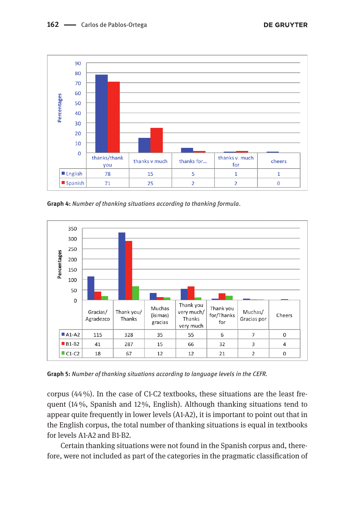

**Graph 4:** *Number of thanking situations according to thanking formula*.



**Graph 5:** *Number of thanking situations according to language levels in the CEFR.*

corpus (44 %). In the case of C1-C2 textbooks, these situations are the least frequent (14%, Spanish and 12%, English). Although thanking situations tend to appear quite frequently in lower levels (A1-A2), it is important to point out that in the English corpus, the total number of thanking situations is equal in textbooks for levels A1-A2 and B1-B2.

Certain thanking situations were not found in the Spanish corpus and, therefore, were not included as part of the categories in the pragmatic classification of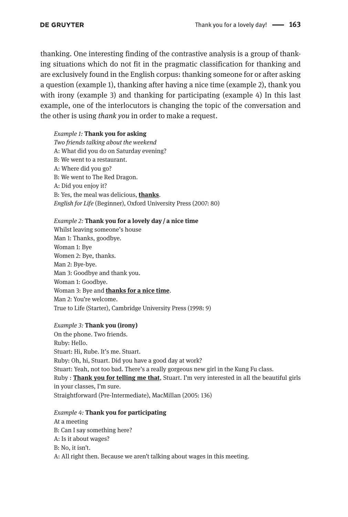thanking. One interesting finding of the contrastive analysis is a group of thanking situations which do not fit in the pragmatic classification for thanking and are exclusively found in the English corpus: thanking someone for or after asking a question (example 1), thanking after having a nice time (example 2), thank you with irony (example 3) and thanking for participating (example 4) In this last example, one of the interlocutors is changing the topic of the conversation and the other is using *thank you* in order to make a request.

#### *Example 1:* **Thank you for asking**

*Two friends talking about the weekend* A: What did you do on Saturday evening? B: We went to a restaurant. A: Where did you go? B: We went to The Red Dragon. A: Did you enjoy it? B: Yes, the meal was delicious, **thanks**. *English for Life* (Beginner)*,* Oxford University Press (2007: 80)

#### *Example 2:* **Thank you for a lovely day / a nice time**

Whilst leaving someone's house Man 1: Thanks, goodbye. Woman 1: Bye Women 2: Bye, thanks. Man 2: Bye-bye. Man 3: Goodbye and thank you. Woman 1: Goodbye. Woman 3: Bye and **thanks for a nice time**. Man 2: You're welcome. True to Life (Starter), Cambridge University Press (1998: 9)

#### *Example 3:* **Thank you (irony)**

On the phone. Two friends. Ruby: Hello. Stuart: Hi, Rube. It's me. Stuart. Ruby: Oh, hi, Stuart. Did you have a good day at work? Stuart: Yeah, not too bad. There's a really gorgeous new girl in the Kung Fu class. Ruby : **Thank you for telling me that**, Stuart. I'm very interested in all the beautiful girls in your classes, I'm sure. Straightforward (Pre-Intermediate), MacMillan (2005: 136)

#### *Example 4:* **Thank you for participating**

At a meeting B: Can I say something here? A: Is it about wages? B: No, it isn't. A: All right then. Because we aren't talking about wages in this meeting.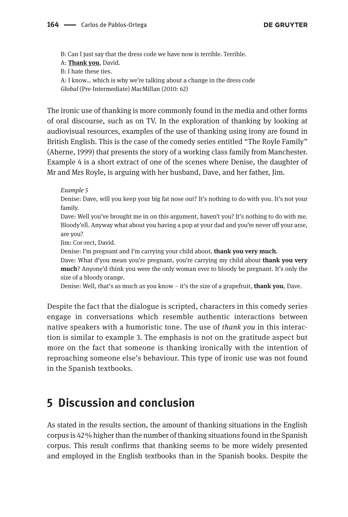B: Can I just say that the dress code we have now is terrible. Terrible.

A: **Thank you**, David.

B: I hate these ties.

A: I know… which is why we're talking about a change in the dress code *Global* (Pre-Intermediate) MacMillan (2010: 62)

The ironic use of thanking is more commonly found in the media and other forms of oral discourse, such as on TV. In the exploration of thanking by looking at audiovisual resources, examples of the use of thanking using irony are found in British English. This is the case of the comedy series entitled "The Royle Family" (Aherne, 1999) that presents the story of a working class family from Manchester. Example 4 is a short extract of one of the scenes where Denise, the daughter of Mr and Mrs Royle, is arguing with her husband, Dave, and her father, Jim.

*Example 5*

Denise: Dave, will you keep your big fat nose out? It's nothing to do with you. It's not your family.

Dave: Well you've brought me in on this argument, haven't you? It's nothing to do with me. Bloody'ell. Anyway what about you having a pop at your dad and you're never off your arse, are you?

Jim: Cor-rect, David.

Denise: I'm pregnant and I'm carrying your child about, **thank you very much**.

Dave: What d'you mean you're pregnant, you're carrying my child about **thank you very much**? Anyone'd think you were the only woman ever to bloody be pregnant. It's only the size of a bloody orange.

Denise: Well, that's as much as you know – it's the size of a grapefruit, **thank you**, Dave.

Despite the fact that the dialogue is scripted, characters in this comedy series engage in conversations which resemble authentic interactions between native speakers with a humoristic tone. The use of *thank you* in this interaction is similar to example 3. The emphasis is not on the gratitude aspect but more on the fact that someone is thanking ironically with the intention of reproaching someone else's behaviour. This type of ironic use was not found in the Spanish textbooks.

## **5 Discussion and conclusion**

As stated in the results section, the amount of thanking situations in the English corpus is 42 % higher than the number of thanking situations found in the Spanish corpus. This result confirms that thanking seems to be more widely presented and employed in the English textbooks than in the Spanish books. Despite the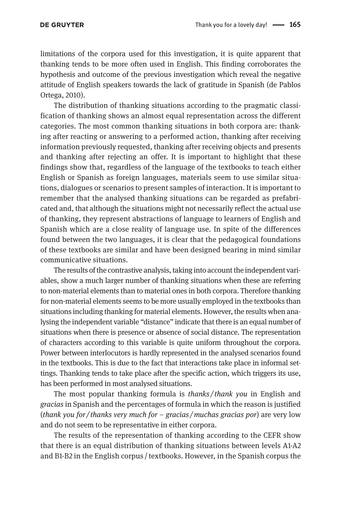limitations of the corpora used for this investigation, it is quite apparent that thanking tends to be more often used in English. This finding corroborates the hypothesis and outcome of the previous investigation which reveal the negative attitude of English speakers towards the lack of gratitude in Spanish (de Pablos Ortega, 2010).

The distribution of thanking situations according to the pragmatic classification of thanking shows an almost equal representation across the different categories. The most common thanking situations in both corpora are: thanking after reacting or answering to a performed action, thanking after receiving information previously requested, thanking after receiving objects and presents and thanking after rejecting an offer. It is important to highlight that these findings show that, regardless of the language of the textbooks to teach either English or Spanish as foreign languages, materials seem to use similar situations, dialogues or scenarios to present samples of interaction. It is important to remember that the analysed thanking situations can be regarded as prefabricated and, that although the situations might not necessarily reflect the actual use of thanking, they represent abstractions of language to learners of English and Spanish which are a close reality of language use. In spite of the differences found between the two languages, it is clear that the pedagogical foundations of these textbooks are similar and have been designed bearing in mind similar communicative situations.

The results of the contrastive analysis, taking into account the independent variables, show a much larger number of thanking situations when these are referring to non-material elements than to material ones in both corpora. Therefore thanking for non-material elements seems to be more usually employed in the textbooks than situations including thanking for material elements. However, the results when analysing the independent variable "distance" indicate that there is an equal number of situations when there is presence or absence of social distance. The representation of characters according to this variable is quite uniform throughout the corpora. Power between interlocutors is hardly represented in the analysed scenarios found in the textbooks. This is due to the fact that interactions take place in informal settings. Thanking tends to take place after the specific action, which triggers its use, has been performed in most analysed situations.

The most popular thanking formula is *thanks/thank you* in English and *gracias* in Spanish and the percentages of formula in which the reason is justified (*thank you for / thanks very much for* – *gracias / muchas gracias por*) are very low and do not seem to be representative in either corpora.

The results of the representation of thanking according to the CEFR show that there is an equal distribution of thanking situations between levels A1-A2 and B1-B2 in the English corpus / textbooks. However, in the Spanish corpus the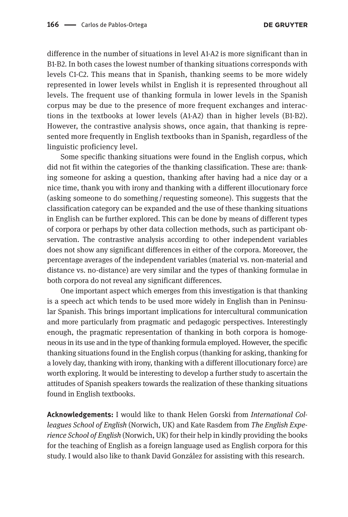difference in the number of situations in level A1-A2 is more significant than in B1-B2. In both cases the lowest number of thanking situations corresponds with levels C1-C2. This means that in Spanish, thanking seems to be more widely represented in lower levels whilst in English it is represented throughout all levels. The frequent use of thanking formula in lower levels in the Spanish corpus may be due to the presence of more frequent exchanges and interactions in the textbooks at lower levels (A1-A2) than in higher levels (B1-B2). However, the contrastive analysis shows, once again, that thanking is represented more frequently in English textbooks than in Spanish, regardless of the linguistic proficiency level.

Some specific thanking situations were found in the English corpus, which did not fit within the categories of the thanking classification. These are: thanking someone for asking a question, thanking after having had a nice day or a nice time, thank you with irony and thanking with a different illocutionary force (asking someone to do something/requesting someone). This suggests that the classification category can be expanded and the use of these thanking situations in English can be further explored. This can be done by means of different types of corpora or perhaps by other data collection methods, such as participant observation. The contrastive analysis according to other independent variables does not show any significant differences in either of the corpora. Moreover, the percentage averages of the independent variables (material vs. non-material and distance vs. no-distance) are very similar and the types of thanking formulae in both corpora do not reveal any significant differences.

One important aspect which emerges from this investigation is that thanking is a speech act which tends to be used more widely in English than in Peninsular Spanish. This brings important implications for intercultural communication and more particularly from pragmatic and pedagogic perspectives. Interestingly enough, the pragmatic representation of thanking in both corpora is homogeneous in its use and in the type of thanking formula employed. However, the specific thanking situations found in the English corpus (thanking for asking, thanking for a lovely day, thanking with irony, thanking with a different illocutionary force) are worth exploring. It would be interesting to develop a further study to ascertain the attitudes of Spanish speakers towards the realization of these thanking situations found in English textbooks.

**Acknowledgements:** I would like to thank Helen Gorski from *International Colleagues School of English* (Norwich, UK) and Kate Rasdem from *The English Experience School of English* (Norwich, UK) for their help in kindly providing the books for the teaching of English as a foreign language used as English corpora for this study. I would also like to thank David González for assisting with this research.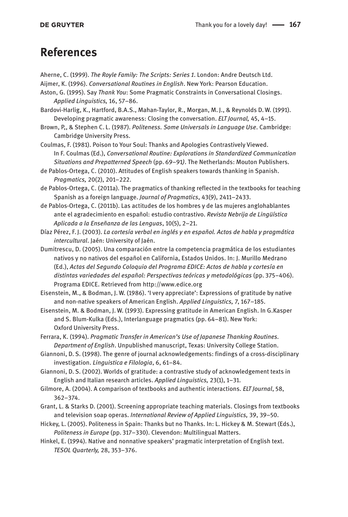## **References**

Aherne, C. (1999). *The Royle Family: The Scripts: Series 1*. London: Andre Deutsch Ltd.

Aijmer, K. (1996). *Conversational Routines in English*. New York: Pearson Education.

Aston, G. (1995). Say *Thank You*: Some Pragmatic Constraints in Conversational Closings. *Applied Linguistics,* 16, 57–86.

Bardovi-Harlig, K., Hartford, B.A.S., Mahan-Taylor, R., Morgan, M. J., & Reynolds D. W. (1991). Developing pragmatic awareness: Closing the conversation. *ELT Journal,* 45, 4–15.

Brown, P,, & Stephen C. L. (1987). *Politeness. Some Universals in Language Use*. Cambridge: Cambridge University Press.

Coulmas, F. (1981). Poison to Your Soul: Thanks and Apologies Contrastively Viewed. In F. Coulmas (Ed.), *Conversational Routine: Explorations in Standardized Communication Situations and Prepatterned Speech* (pp. 69–91*)*. The Netherlands: Mouton Publishers.

de Pablos-Ortega, C. (2010). Attitudes of English speakers towards thanking in Spanish. *Pragmatics,* 20(2), 201–222.

de Pablos-Ortega, C. (2011a). The pragmatics of thanking reflected in the textbooks for teaching Spanish as a foreign language. *Journal of Pragmatics*, 43(9), 2411–2433.

de Pablos-Ortega, C. (2011b). Las actitudes de los hombres y de las mujeres anglohablantes ante el agradecimiento en español: estudio contrastivo. *Revista Nebrija de Lingüística Aplicada a la Enseñanza de las Lenguas*, 10(5), 2–21.

Díaz Pérez, F. J. (2003). *La cortesía verbal en inglés y en español. Actos de habla y pragmática intercultural*. Jaén: University of Jaén.

Dumitrescu, D. (2005). Una comparación entre la competencia pragmática de los estudiantes nativos y no nativos del español en California, Estados Unidos. In: J. Murillo Medrano (Ed.), *Actas del Segundo Coloquio del Programa EDICE: Actos de habla y cortesía en distintas variedades del español: Perspectivas teóricas y metodológicas* (pp. 375–406). Programa EDICE. Retrieved from http://www.edice.org

Eisenstein, M., & Bodman, J. W. (1986). 'I very appreciate': Expressions of gratitude by native and non-native speakers of American English. *Applied Linguistics,* 7, 167–185.

Eisenstein, M. & Bodman, J. W. (1993). Expressing gratitude in American English. In G.Kasper and S. Blum-Kulka (Eds.), Interlanguage pragmatics (pp. 64–81). New York: Oxford University Press.

Ferrara, K. (1994). *Pragmatic Transfer in American's Use of Japanese Thanking Routines. Department of English*. Unpublished manuscript, Texas: University College Station.

- Giannoni, D. S. (1998). The genre of journal acknowledgements: findings of a cross-disciplinary investigation. *Linguistica e Filologia*, 6, 61–84.
- Giannoni, D. S. (2002). Worlds of gratitude: a contrastive study of acknowledgement texts in English and Italian research articles. *Applied Linguistics,* 23(1), 1–31.

Gilmore, A. (2004). A comparison of textbooks and authentic interactions. *ELT Journal*, 58, 362–374.

Grant, L. & Starks D. (2001). Screening appropriate teaching materials. Closings from textbooks and television soap operas. *International Review of Applied Linguistics,* 39, 39–50.

Hickey, L. (2005). Politeness in Spain: Thanks but no Thanks. In: L. Hickey & M. Stewart (Eds.), *Politeness in Europe* (pp. 317–330). Clevendon: Multilingual Matters.

Hinkel, E. (1994). Native and nonnative speakers' pragmatic interpretation of English text. *TESOL Quarterly,* 28, 353–376.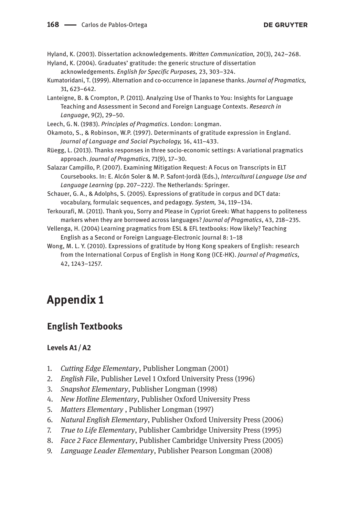Hyland, K. (2003). Dissertation acknowledgements. *Written Communication,* 20(3), 242–268.

- Hyland, K. (2004). Graduates' gratitude: the generic structure of dissertation acknowledgements. *English for Specific Purposes,* 23, 303–324.
- Kumatoridani, T. (1999). Alternation and co-occurrence in Japanese thanks. *Journal of Pragmatics,* 31, 623–642.
- Lanteigne, B. & Crompton, P. (2011). Analyzing Use of Thanks to You: Insights for Language Teaching and Assessment in Second and Foreign Language Contexts. *Research in Language*, 9(2), 29–50.

Leech, G. N. (1983). *Principles of Pragmatics*. London: Longman.

- Okamoto, S., & Robinson, W.P. (1997). Determinants of gratitude expression in England. *Journal of Language and Social Psychology,* 16, 411–433.
- Rüegg, L. (2013). Thanks responses in three socio-economic settings: A variational pragmatics approach. *Journal of Pragmatics*, 71(9), 17–30.
- Salazar Campillo, P. (2007). Examining Mitigation Request: A Focus on Transcripts in ELT Coursebooks. In: E. Alcón Soler & M. P. Safont-Jordà (Eds.), *Intercultural Language Use and Language Learning* (pp. 207–222*)*. The Netherlands: Springer.
- Schauer, G. A., & Adolphs, S. (2005). Expressions of gratitude in corpus and DCT data: vocabulary, formulaic sequences, and pedagogy. *System,* 34, 119–134.
- Terkourafi, M. (2011). Thank you, Sorry and Please in Cypriot Greek: What happens to politeness markers when they are borrowed across languages? *Journal of Pragmatics*, 43, 218–235.
- Vellenga, H. (2004) Learning pragmatics from ESL & EFL textbooks: How likely? Teaching English as a Second or Foreign Language-Electronic Journal 8: 1–18
- Wong, M. L. Y. (2010). Expressions of gratitude by Hong Kong speakers of English: research from the International Corpus of English in Hong Kong (ICE-HK). *Journal of Pragmatics,* 42, 1243–1257.

# **Appendix 1**

### **English Textbooks**

### Levels A<sub>1</sub>/A<sub>2</sub>

- 1. *Cutting Edge Elementary*, Publisher Longman (2001)
- 2. *English File*, Publisher Level 1 Oxford University Press (1996)
- 3. *Snapshot Elementary*, Publisher Longman (1998)
- 4. *New Hotline Elementary*, Publisher Oxford University Press
- 5. *Matters Elementary* , Publisher Longman (1997)
- 6. *Natural English Elementary*, Publisher Oxford University Press (2006)
- 7. *True to Life Elementary*, Publisher Cambridge University Press (1995)
- 8. *Face 2 Face Elementary*, Publisher Cambridge University Press (2005)
- 9. *Language Leader Elementary*, Publisher Pearson Longman (2008)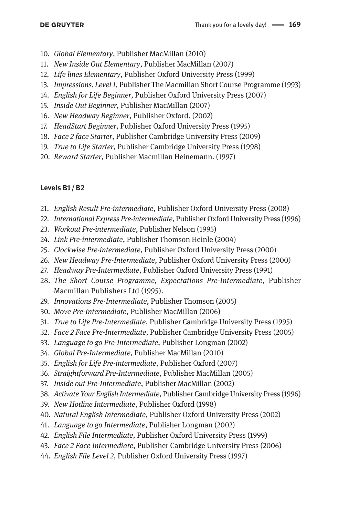- 10. *Global Elementary*, Publisher MacMillan (2010)
- 11. *New Inside Out Elementary*, Publisher MacMillan (2007)
- 12. *Life lines Elementary*, Publisher Oxford University Press (1999)
- 13. *Impressions. Level 1*, Publisher The Macmillan Short Course Programme (1993)
- 14. *English for Life Beginner*, Publisher Oxford University Press (2007)
- 15. *Inside Out Beginner*, Publisher MacMillan (2007)
- 16. *New Headway Beginner*, Publisher Oxford. (2002)
- 17. *HeadStart Beginner*, Publisher Oxford University Press (1995)
- 18. *Face 2 face Starter*, Publisher Cambridge University Press (2009)
- 19. *True to Life Starter*, Publisher Cambridge University Press (1998)
- 20. *Reward Starter*, Publisher Macmillan Heinemann. (1997)

### **Levels B1 / B2**

- 21. *English Result Pre-intermediate*, Publisher Oxford University Press (2008)
- 22. *International Express Pre-intermediate*, Publisher Oxford University Press (1996)
- 23. *Workout Pre-intermediate*, Publisher Nelson (1995)
- 24. *Link Pre-intermediate*, Publisher Thomson Heinle (2004)
- 25. *Clockwise Pre-intermediate*, Publisher Oxford University Press (2000)
- 26. *New Headway Pre-Intermediate*, Publisher Oxford University Press (2000)
- 27. *Headway Pre-Intermediate*, Publisher Oxford University Press (1991)
- 28. *The Short Course Programme, Expectations Pre-Intermediate*, Publisher Macmillan Publishers Ltd (1995).
- 29. *Innovations Pre-Intermediate*, Publisher Thomson (2005)
- 30. *Move Pre-Intermediate*, Publisher MacMillan (2006)
- 31. *True to Life Pre-Intermediate*, Publisher Cambridge University Press (1995)
- 32. *Face 2 Face Pre-Intermediate*, Publisher Cambridge University Press (2005)
- 33. *Language to go Pre-Intermediate*, Publisher Longman (2002)
- 34. *Global Pre-Intermediate*, Publisher MacMillan (2010)
- 35. *English for Life Pre-intermediate*, Publisher Oxford (2007)
- 36. *Straightforward Pre-Intermediate*, Publisher MacMillan (2005)
- 37. *Inside out Pre-Intermediate*, Publisher MacMillan (2002)
- 38. *Activate Your English Intermediate*, Publisher Cambridge University Press (1996)
- 39. *New Hotline Intermediate*, Publisher Oxford (1998)
- 40. *Natural English Intermediate*, Publisher Oxford University Press (2002)
- 41. *Language to go Intermediate*, Publisher Longman (2002)
- 42. *English File Intermediate*, Publisher Oxford University Press (1999)
- 43. *Face 2 Face Intermediate*, Publisher Cambridge University Press (2006)
- 44. *English File Level 2*, Publisher Oxford University Press (1997)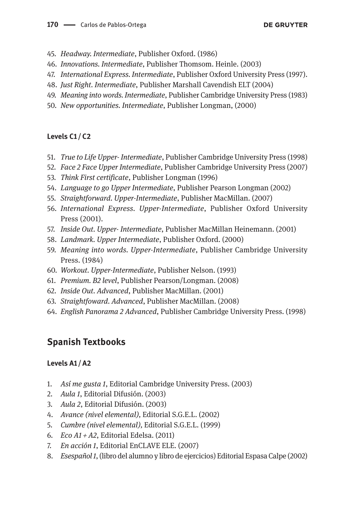- 45. *Headway. Intermediate*, Publisher Oxford. (1986)
- 46. *Innovations. Intermediate*, Publisher Thomsom. Heinle. (2003)
- 47. *International Express. Intermediate*, Publisher Oxford University Press (1997).
- 48. *Just Right. Intermediate*, Publisher Marshall Cavendish ELT (2004)
- 49. *Meaning into words. Intermediate*, Publisher Cambridge University Press (1983)
- 50. *New opportunities. Intermediate*, Publisher Longman, (2000)

### Levels C1/C2

- 51. *True to Life Upper- Intermediate*, Publisher Cambridge University Press (1998)
- 52. *Face 2 Face Upper Intermediate*, Publisher Cambridge University Press (2007)
- 53. *Think First certificate*, Publisher Longman (1996)
- 54. *Language to go Upper Intermediate*, Publisher Pearson Longman (2002)
- 55. *Straightforward. Upper-Intermediate*, Publisher MacMillan. (2007)
- 56. *International Express. Upper-Intermediate*, Publisher Oxford University Press (2001).
- 57. *Inside Out. Upper- Intermediate*, Publisher MacMillan Heinemann. (2001)
- 58. *Landmark. Upper Intermediate*, Publisher Oxford. (2000)
- 59. *Meaning into words. Upper-Intermediate*, Publisher Cambridge University Press. (1984)
- 60. *Workout. Upper-Intermediate*, Publisher Nelson. (1993)
- 61. *Premium. B2 level*, Publisher Pearson/Longman. (2008)
- 62. *Inside Out. Advanced*, Publisher MacMillan. (2001)
- 63. *Straightfoward. Advanced*, Publisher MacMillan. (2008)
- 64. *English Panorama 2 Advanced*, Publisher Cambridge University Press. (1998)

### **Spanish Textbooks**

### **Levels A1 / A2**

- 1. *Así me gusta 1*, Editorial Cambridge University Press. (2003)
- 2. *Aula 1*, Editorial Difusión. (2003)
- 3. *Aula 2*, Editorial Difusión. (2003)
- 4. *Avance (nivel elemental),* Editorial S.G.E.L. (2002)
- 5. *Cumbre (nivel elemental),* Editorial S.G.E.L. (1999)
- 6. *Eco A1 + A2*, Editorial Edelsa. (2011)
- 7. *En acción 1*, Editorial EnCLAVE ELE. (2007)
- 8. *Esespañol 1*, (libro del alumno y libro de ejercicios) Editorial Espasa Calpe (2002)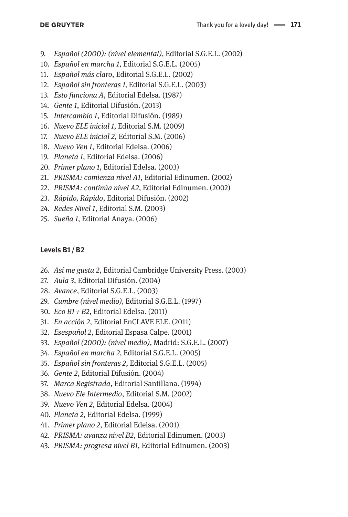- 9. *Español (2000): (nivel elemental)*, Editorial S.G.E.L. (2002)
- 10. *Español en marcha 1*, Editorial S.G.E.L. (2005)
- 11. *Español más claro*, Editorial S.G.E.L. (2002)
- 12. *Español sin fronteras 1,* Editorial S.G.E.L. (2003)
- 13. *Esto funciona A*, Editorial Edelsa. (1987)
- 14. *Gente 1*, Editorial Difusión. (2013)
- 15. *Intercambio 1*, Editorial Difusión. (1989)
- 16. *Nuevo ELE inicial 1*, Editorial S.M. (2009)
- 17. *Nuevo ELE inicial 2*, Editorial S.M. (2006)
- 18. *Nuevo Ven 1*, Editorial Edelsa. (2006)
- 19. *Planeta 1*, Editorial Edelsa. (2006)
- 20. *Primer plano 1*, Editorial Edelsa. (2003)
- 21. *PRISMA: comienza nivel A1*, Editorial Edinumen. (2002)
- 22. *PRISMA: continúa nivel A2*, Editorial Edinumen. (2002)
- 23. *Rápido, Rápido*, Editorial Difusión. (2002)
- 24. *Redes Nivel 1*, Editorial S.M. (2003)
- 25. *Sueña 1*, Editorial Anaya. (2006)

### **Levels B1 / B2**

- 26. *Así me gusta 2*, Editorial Cambridge University Press. (2003)
- 27. *Aula 3*, Editorial Difusión. (2004)
- 28. *Avance*, Editorial S.G.E.L. (2003)
- 29. *Cumbre (nivel medio),* Editorial S.G.E.L. (1997)
- 30. *Eco B1 + B2*, Editorial Edelsa. (2011)
- 31. *En acción 2*, Editorial EnCLAVE ELE. (2011)
- 32. *Esespañol 2*, Editorial Espasa Calpe. (2001)
- 33. *Español (2000): (nivel medio)*, Madrid: S.G.E.L. (2007)
- 34. *Español en marcha 2,* Editorial S.G.E.L. (2005)
- 35. *Español sin fronteras 2*, Editorial S.G.E.L. (2005)
- 36. *Gente 2*, Editorial Difusión. (2004)
- 37. *Marca Registrada*, Editorial Santillana. (1994)
- 38. *Nuevo Ele Intermedio*, Editorial S.M. (2002)
- 39. *Nuevo Ven 2*, Editorial Edelsa. (2004)
- 40. *Planeta 2*, Editorial Edelsa. (1999)
- 41. *Primer plano 2*, Editorial Edelsa. (2001)
- 42. *PRISMA: avanza nivel B2*, Editorial Edinumen. (2003)
- 43. *PRISMA: progresa nivel B1*, Editorial Edinumen. (2003)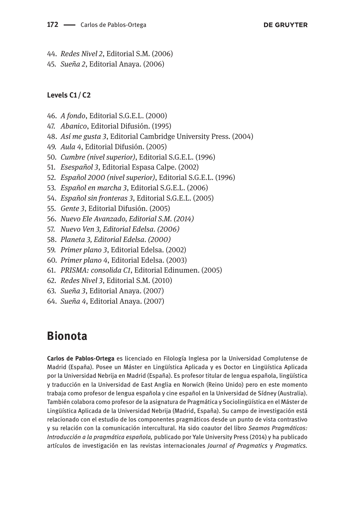- 44. *Redes Nivel 2*, Editorial S.M. (2006)
- 45. *Sueña 2*, Editorial Anaya. (2006)

#### **Levels C1 / C2**

- 46. *A fondo*, Editorial S.G.E.L. (2000)
- 47. *Abanico*, Editorial Difusión. (1995)
- 48. *Así me gusta 3*, Editorial Cambridge University Press. (2004)
- 49. *Aula 4*, Editorial Difusión. (2005)
- 50. *Cumbre (nivel superior)*, Editorial S.G.E.L. (1996)
- 51. *Esespañol 3*, Editorial Espasa Calpe. (2002)
- 52. *Español 2000 (nivel superior)*, Editorial S.G.E.L. (1996)
- 53. *Español en marcha 3*, Editorial S.G.E.L. (2006)
- 54. *Español sin fronteras 3*, Editorial S.G.E.L. (2005)
- 55. *Gente 3*, Editorial Difusión. (2005)
- 56. *Nuevo Ele Avanzado, Editorial S.M. (2014)*
- 57. *Nuevo Ven 3, Editorial Edelsa. (2006)*
- 58. *Planeta 3, Editorial Edelsa. (2000)*
- 59. *Primer plano 3*, Editorial Edelsa. (2002)
- 60. *Primer plano 4*, Editorial Edelsa. (2003)
- 61. *PRISMA: consolida C1*, Editorial Edinumen. (2005)
- 62. *Redes Nivel 3*, Editorial S.M. (2010)
- 63. *Sueña 3*, Editorial Anaya. (2007)
- 64. *Sueña 4*, Editorial Anaya. (2007)

## **Bionota**

**Carlos de Pablos-Ortega** es licenciado en Filología Inglesa por la Universidad Complutense de Madrid (España). Posee un Máster en Lingüística Aplicada y es Doctor en Lingüística Aplicada por la Universidad Nebrija en Madrid (España). Es profesor titular de lengua española, lingüística y traducción en la Universidad de East Anglia en Norwich (Reino Unido) pero en este momento trabaja como profesor de lengua española y cine español en la Universidad de Sídney (Australia). También colabora como profesor de la asignatura de Pragmática y Sociolingüística en el Máster de Lingüística Aplicada de la Universidad Nebrija (Madrid, España). Su campo de investigación está relacionado con el estudio de los componentes pragmáticos desde un punto de vista contrastivo y su relación con la comunicación intercultural. Ha sido coautor del libro *Seamos Pragmáticos: Introducción a la pragmática española,* publicado por Yale University Press (2014) y ha publicado artículos de investigación en las revistas internacionales *Journal of Pragmatics* y *Pragmatics.*